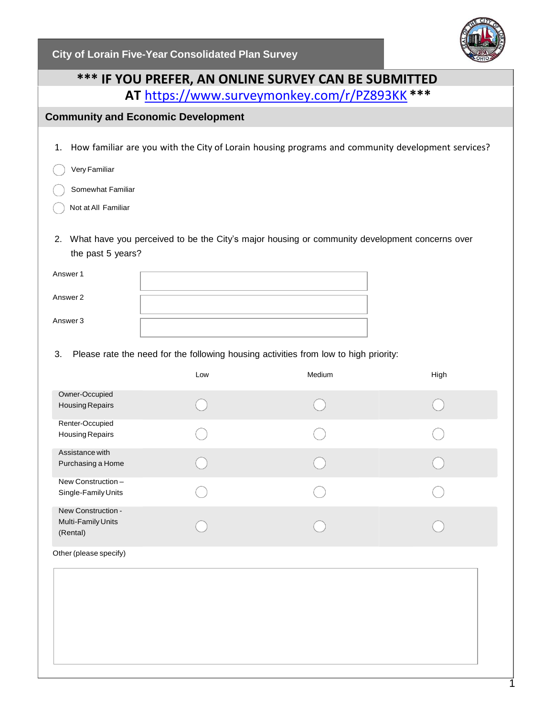**City of Lorain Five-Year Consolidated Plan Survey**



# **\*\*\* IF YOU PREFER, AN ONLINE SURVEY CAN BE SUBMITTED AT** <https://www.surveymonkey.com/r/PZ893KK> **\*\*\***

## **Community and Economic Development**

1. How familiar are you with the City of Lorain housing programs and community development services?

Very Familiar

Somewhat Familiar

- Not at All Familiar
- 2. What have you perceived to be the City's major housing or community development concerns over the past 5 years?

| Answer 1 |  |
|----------|--|
| Answer 2 |  |
| Answer 3 |  |

3. Please rate the need for the following housing activities from low to high priority:

|                                                      | Low | Medium | High |
|------------------------------------------------------|-----|--------|------|
| Owner-Occupied<br>Housing Repairs                    |     |        |      |
| Renter-Occupied<br>Housing Repairs                   |     |        |      |
| Assistance with<br>Purchasing a Home                 |     |        |      |
| New Construction -<br>Single-Family Units            |     |        |      |
| New Construction -<br>Multi-Family Units<br>(Rental) |     |        |      |
| Other (please specify)                               |     |        |      |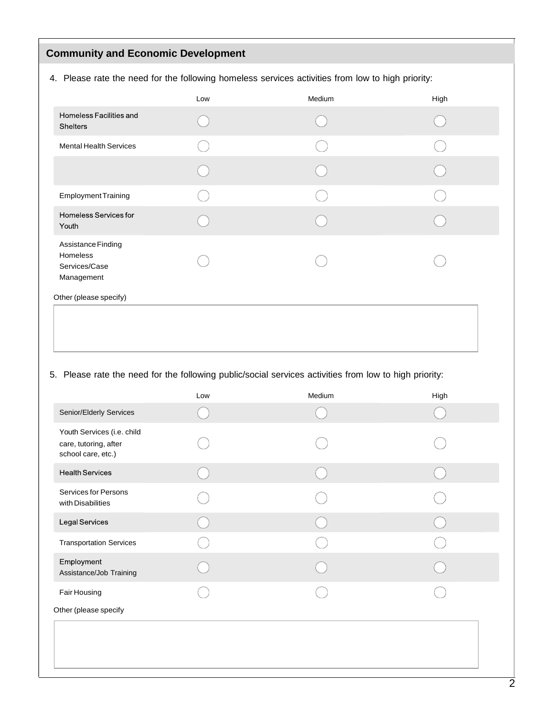# **Community and Economic Development**

4. Please rate the need for the following homeless services activities from low to high priority:

|                                                               | Low | Medium | High |
|---------------------------------------------------------------|-----|--------|------|
| Homeless Facilities and<br><b>Shelters</b>                    |     |        |      |
| <b>Mental Health Services</b>                                 |     |        |      |
|                                                               |     |        |      |
| <b>Employment Training</b>                                    |     |        |      |
| Homeless Services for<br>Youth                                |     |        |      |
| Assistance Finding<br>Homeless<br>Services/Case<br>Management |     |        |      |
| Other (please specify)                                        |     |        |      |

## 5. Please rate the need for the following public/social services activities from low to high priority:

|                                                                           | Low | Medium | High |
|---------------------------------------------------------------------------|-----|--------|------|
| Senior/Elderly Services                                                   |     |        |      |
| Youth Services (i.e. child<br>care, tutoring, after<br>school care, etc.) |     |        |      |
| <b>Health Services</b>                                                    |     |        |      |
| Services for Persons<br>with Disabilities                                 |     |        |      |
| Legal Services                                                            |     |        |      |
| <b>Transportation Services</b>                                            |     |        |      |
| Employment<br>Assistance/Job Training                                     |     |        |      |
| Fair Housing                                                              |     |        |      |
| Other (please specify                                                     |     |        |      |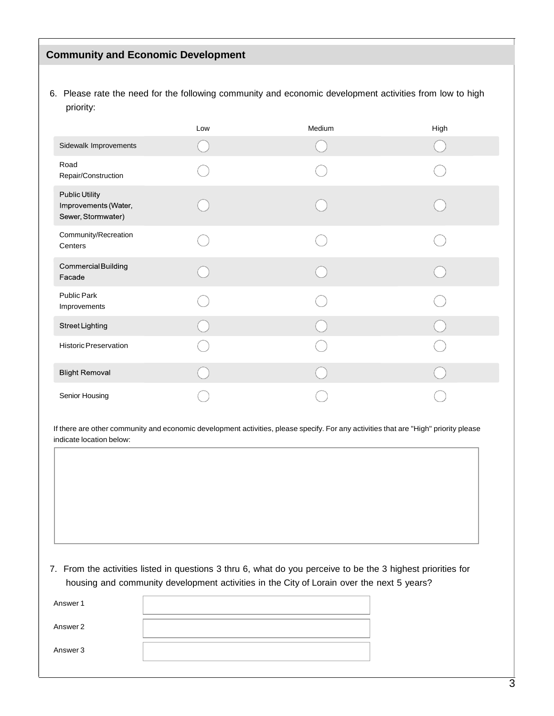#### **Community and Economic Development**

6. Please rate the need for the following community and economic development activities from low to high priority:

|                                                                     | Low | Medium | High |
|---------------------------------------------------------------------|-----|--------|------|
| Sidewalk Improvements                                               |     |        |      |
| Road<br>Repair/Construction                                         |     |        |      |
| <b>Public Utility</b><br>Improvements (Water,<br>Sewer, Stormwater) |     |        |      |
| Community/Recreation<br>Centers                                     |     |        |      |
| Commercial Building<br>Facade                                       |     |        |      |
| Public Park<br>Improvements                                         |     |        |      |
| <b>Street Lighting</b>                                              |     |        |      |
| Historic Preservation                                               |     |        |      |
| <b>Blight Removal</b>                                               |     |        |      |
| Senior Housing                                                      |     |        |      |

If there are other community and economic development activities, please specify. For any activities that are "High" priority please indicate location below:

7. From the activities listed in questions 3 thru 6, what do you perceive to be the 3 highest priorities for housing and community development activities in the City of Lorain over the next 5 years?

| Answer 1 |  |
|----------|--|
| Answer 2 |  |
| Answer 3 |  |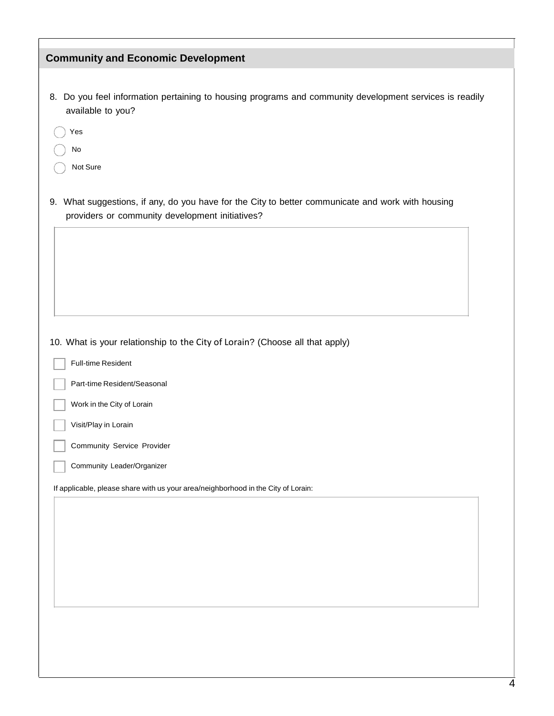| <b>Community and Economic Development</b>                                                                                                            |                                                                                                      |
|------------------------------------------------------------------------------------------------------------------------------------------------------|------------------------------------------------------------------------------------------------------|
|                                                                                                                                                      |                                                                                                      |
| 8.<br>available to you?                                                                                                                              | Do you feel information pertaining to housing programs and community development services is readily |
| Yes                                                                                                                                                  |                                                                                                      |
| $\mathsf{No}$                                                                                                                                        |                                                                                                      |
| Not Sure                                                                                                                                             |                                                                                                      |
| 9. What suggestions, if any, do you have for the City to better communicate and work with housing<br>providers or community development initiatives? |                                                                                                      |
|                                                                                                                                                      |                                                                                                      |
|                                                                                                                                                      |                                                                                                      |
|                                                                                                                                                      |                                                                                                      |
|                                                                                                                                                      |                                                                                                      |
|                                                                                                                                                      |                                                                                                      |
| Full-time Resident                                                                                                                                   |                                                                                                      |
| Part-time Resident/Seasonal                                                                                                                          |                                                                                                      |
| Work in the City of Lorain                                                                                                                           |                                                                                                      |
| Visit/Play in Lorain                                                                                                                                 |                                                                                                      |
| Community Service Provider                                                                                                                           |                                                                                                      |
| Community Leader/Organizer                                                                                                                           |                                                                                                      |
| If applicable, please share with us your area/neighborhood in the City of Lorain:                                                                    |                                                                                                      |
|                                                                                                                                                      |                                                                                                      |
|                                                                                                                                                      |                                                                                                      |
|                                                                                                                                                      |                                                                                                      |
|                                                                                                                                                      |                                                                                                      |
|                                                                                                                                                      |                                                                                                      |
|                                                                                                                                                      |                                                                                                      |
|                                                                                                                                                      |                                                                                                      |
|                                                                                                                                                      |                                                                                                      |
|                                                                                                                                                      |                                                                                                      |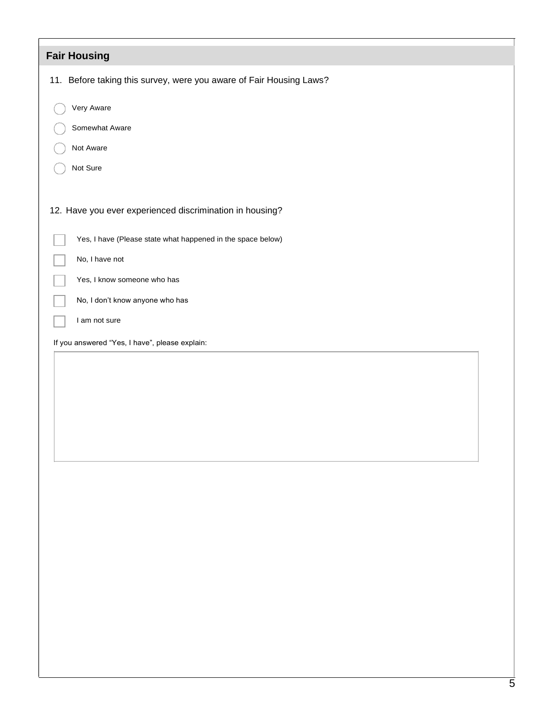| <b>Fair Housing</b>                                                 |
|---------------------------------------------------------------------|
| 11. Before taking this survey, were you aware of Fair Housing Laws? |
| Very Aware                                                          |
| Somewhat Aware                                                      |
| Not Aware                                                           |
| Not Sure                                                            |
| 12. Have you ever experienced discrimination in housing?            |
| Yes, I have (Please state what happened in the space below)         |
| No, I have not                                                      |
| Yes, I know someone who has                                         |
| No, I don't know anyone who has                                     |
| I am not sure                                                       |
| If you answered "Yes, I have", please explain:                      |
|                                                                     |
|                                                                     |
|                                                                     |
|                                                                     |
|                                                                     |
|                                                                     |
|                                                                     |
|                                                                     |
|                                                                     |
|                                                                     |
|                                                                     |
|                                                                     |
|                                                                     |
|                                                                     |
|                                                                     |
|                                                                     |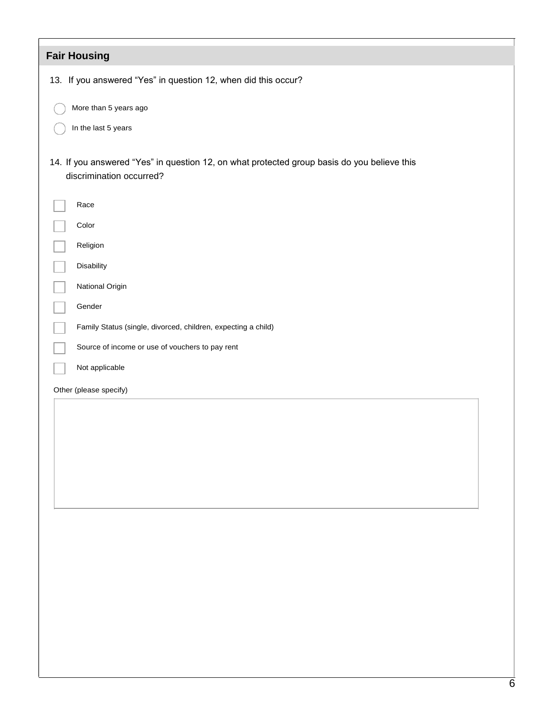| <b>Fair Housing</b>                                                                                                     |
|-------------------------------------------------------------------------------------------------------------------------|
| 13. If you answered "Yes" in question 12, when did this occur?                                                          |
| More than 5 years ago                                                                                                   |
| In the last 5 years                                                                                                     |
| 14. If you answered "Yes" in question 12, on what protected group basis do you believe this<br>discrimination occurred? |
| Race                                                                                                                    |
| Color                                                                                                                   |
| Religion                                                                                                                |
| Disability                                                                                                              |
| National Origin                                                                                                         |
| Gender                                                                                                                  |
| Family Status (single, divorced, children, expecting a child)                                                           |
| Source of income or use of vouchers to pay rent                                                                         |
| Not applicable                                                                                                          |
| Other (please specify)                                                                                                  |
|                                                                                                                         |
|                                                                                                                         |
|                                                                                                                         |
|                                                                                                                         |
|                                                                                                                         |
|                                                                                                                         |
|                                                                                                                         |
|                                                                                                                         |
|                                                                                                                         |
|                                                                                                                         |
|                                                                                                                         |
|                                                                                                                         |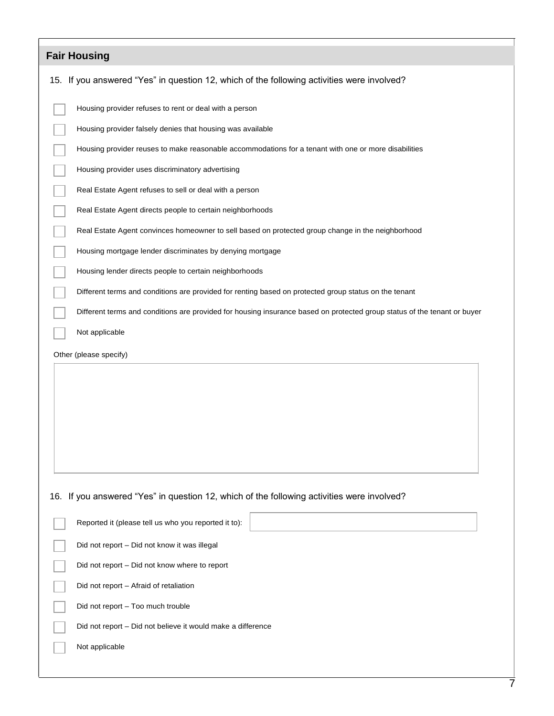| <b>Fair Housing</b>                                                                                                      |
|--------------------------------------------------------------------------------------------------------------------------|
| 15. If you answered "Yes" in question 12, which of the following activities were involved?                               |
| Housing provider refuses to rent or deal with a person                                                                   |
| Housing provider falsely denies that housing was available                                                               |
| Housing provider reuses to make reasonable accommodations for a tenant with one or more disabilities                     |
| Housing provider uses discriminatory advertising                                                                         |
| Real Estate Agent refuses to sell or deal with a person                                                                  |
| Real Estate Agent directs people to certain neighborhoods                                                                |
| Real Estate Agent convinces homeowner to sell based on protected group change in the neighborhood                        |
| Housing mortgage lender discriminates by denying mortgage                                                                |
| Housing lender directs people to certain neighborhoods                                                                   |
| Different terms and conditions are provided for renting based on protected group status on the tenant                    |
| Different terms and conditions are provided for housing insurance based on protected group status of the tenant or buyer |
| Not applicable                                                                                                           |
| Other (please specify)                                                                                                   |
|                                                                                                                          |
|                                                                                                                          |
|                                                                                                                          |
|                                                                                                                          |
|                                                                                                                          |
|                                                                                                                          |
| 16. If you answered "Yes" in question 12, which of the following activities were involved?                               |
| Reported it (please tell us who you reported it to):                                                                     |
| Did not report - Did not know it was illegal                                                                             |
| Did not report - Did not know where to report                                                                            |
| Did not report - Afraid of retaliation                                                                                   |
| Did not report - Too much trouble                                                                                        |
| Did not report - Did not believe it would make a difference                                                              |
| Not applicable                                                                                                           |
|                                                                                                                          |